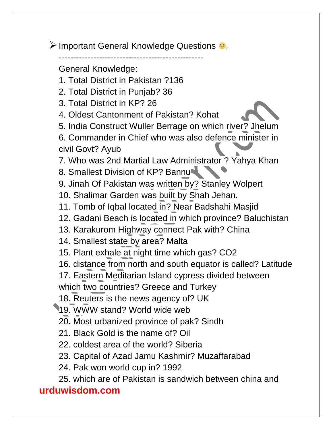> Important General Knowledge Questions  $\bigcirc$ <sub>3</sub>

--------------------------------------------------

General Knowledge:

- 1. Total District in Pakistan ?136
- 2. Total District in Punjab? 36
- 3. Total District in KP? 26
- 4. Oldest Cantonment of Pakistan? Kohat
- 5. India Construct Wuller Berrage on which river? Jhelum
- 6. Commander in Chief who was also defence minister in civil Govt? Ayub

7. Who was 2nd Martial Law Administrator ? Yahya Khan

8. Smallest Division of KP? Bannu

- 9. Jinah Of Pakistan was written by? Stanley Wolpert
- 10. Shalimar Garden was built by Shah Jehan.
- 11. Tomb of Iqbal located in? Near Badshahi Masjid
- 12. Gadani Beach is located in which province? Baluchistan
- 13. Karakurom Highway connect Pak with? China
- 14. Smallest state by area? Malta
- 15. Plant exhale at night time which gas? CO2
- 16. distance from north and south equator is called? Latitude
- 17. Eastern Meditarian Island cypress divided between

which two countries? Greece and Turkey

18. Reuters is the news agency of? UK

19. WWW stand? World wide web

- 20. Most urbanized province of pak? Sindh
- 21. Black Gold is the name of? Oil
- 22. coldest area of the world? Siberia
- 23. Capital of Azad Jamu Kashmir? Muzaffarabad
- 24. Pak won world cup in? 1992
- 25. which are of Pakistan is sandwich between china and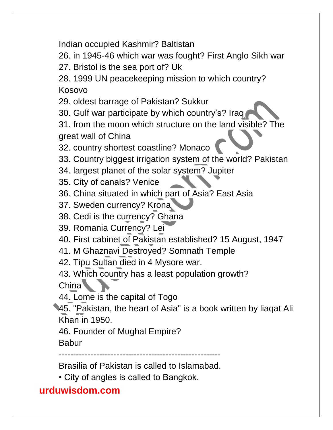Indian occupied Kashmir? Baltistan

26. in 1945-46 which war was fought? First Anglo Sikh war

27. Bristol is the sea port of? Uk

28. 1999 UN peacekeeping mission to which country? Kosovo

29. oldest barrage of Pakistan? Sukkur

30. Gulf war participate by which country's? Iraq

31. from the moon which structure on the land visible? The great wall of China

32. country shortest coastline? Monaco

33. Country biggest irrigation system of the world? Pakistan

34. largest planet of the solar system? Jupiter

35. City of canals? Venice

36. China situated in which part of Asia? East Asia

37. Sweden currency? Krona

38. Cedi is the currency? Ghana

39. Romania Currency? Lei

40. First cabinet of Pakistan established? 15 August, 1947

41. M Ghaznavi Destroyed? Somnath Temple

42. Tipu Sultan died in 4 Mysore war.

43. Which country has a least population growth? China<sup>1</sup>

44. Lome is the capital of Togo

45. "Pakistan, the heart of Asia" is a book written by liaqat Ali Khan in 1950.

46. Founder of Mughal Empire?

Babur

--------------------------------------------------------

Brasilia of Pakistan is called to Islamabad.

• City of angles is called to Bangkok.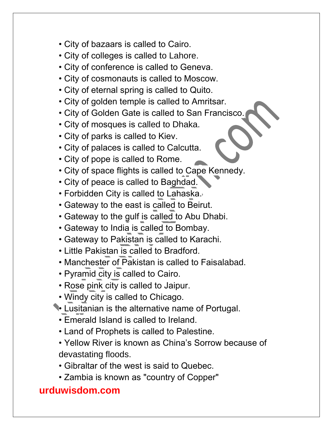- City of bazaars is called to Cairo.
- City of colleges is called to Lahore.
- City of conference is called to Geneva.
- City of cosmonauts is called to Moscow.
- City of eternal spring is called to Quito.
- City of golden temple is called to Amritsar.
- City of Golden Gate is called to San Francisco.
- City of mosques is called to Dhaka.
- City of parks is called to Kiev.
- City of palaces is called to Calcutta.
- City of pope is called to Rome.
- City of space flights is called to Cape Kennedy.
- City of peace is called to Baghdad.
- Forbidden City is called to Lahaska.
- Gateway to the east is called to Beirut.
- Gateway to the gulf is called to Abu Dhabi.
- Gateway to India is called to Bombay.
- Gateway to Pakistan is called to Karachi.
- Little Pakistan is called to Bradford.
- Manchester of Pakistan is called to Faisalabad.
- Pyramid city is called to Cairo.
- Rose pink city is called to Jaipur.
- Windy city is called to Chicago.
- Lusitanian is the alternative name of Portugal.
	- Emerald Island is called to Ireland.
	- Land of Prophets is called to Palestine.
	- Yellow River is known as China's Sorrow because of devastating floods.
	- Gibraltar of the west is said to Quebec.
	- Zambia is known as "country of Copper"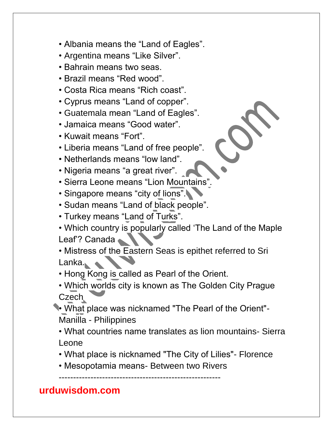- Albania means the "Land of Eagles".
- Argentina means "Like Silver".
- Bahrain means two seas.
- Brazil means "Red wood".
- Costa Rica means "Rich coast".
- Cyprus means "Land of copper".
- Guatemala mean "Land of Eagles".
- Jamaica means "Good water".
- Kuwait means "Fort".
- Liberia means "Land of free people".
- Netherlands means "low land".
- Nigeria means "a great river".
- Sierra Leone means "Lion Mountains".
- Singapore means "city of lions".
- Sudan means "Land of black people".
- Turkey means "Land of Turks".
- Which country is popularly called 'The Land of the Maple Leaf? Canada

• Mistress of the Eastern Seas is epithet referred to Sri Lanka.

• Hong Kong is called as Pearl of the Orient.

- Which worlds city is known as The Golden City Prague Czech
- What place was nicknamed "The Pearl of the Orient"- Manilla - Philippines
	- What countries name translates as lion mountains- Sierra Leone
	- What place is nicknamed "The City of Lilies"- Florence
	- Mesopotamia means- Between two Rivers

--------------------------------------------------------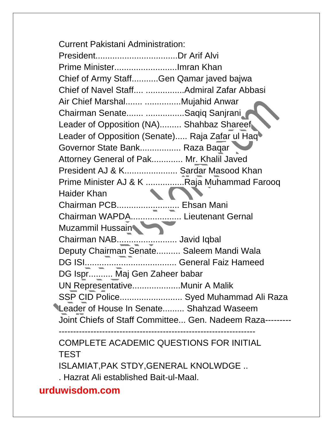Current Pakistani Administration: President..................................Dr Arif Alvi Prime Minister..........................Imran Khan Chief of Army Staff...........Gen Qamar javed bajwa Chief of Navel Staff.... ................Admiral Zafar Abbasi Air Chief Marshal....... ...............Mujahid Anwar Chairman Senate....... ................Saqiq Sanjrani Leader of Opposition (NA)......... Shahbaz Shareef Leader of Opposition (Senate)..... Raja Zafar ul Haq Governor State Bank................. Raza Baqar Attorney General of Pak............. Mr. Khalil Javed President AJ & K...................... Sardar Masood Khan Prime Minister AJ & K .................Raja Muhammad Farooq Haider Khan Chairman PCB.......................... Ehsan Mani Chairman WAPDA..................... Lieutenant Gernal Muzammil Hussain Chairman NAB......................... Javid Iqbal Deputy Chairman Senate.......... Saleem Mandi Wala DG ISI...................................... General Faiz Hameed DG Ispr.......... Maj Gen Zaheer babar UN Representative....................Munir A Malik SSP CID Police.......................... Syed Muhammad Ali Raza Leader of House In Senate......... Shahzad Waseem Joint Chiefs of Staff Committee... Gen. Nadeem Raza--------- -------------------------------------------------------------------- COMPLETE ACADEMIC QUESTIONS FOR INITIAL

# TEST

ISLAMIAT,PAK STDY,GENERAL KNOLWDGE ..

. Hazrat Ali established Bait-ul-Maal.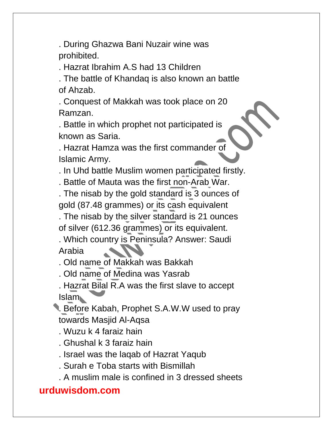. During Ghazwa Bani Nuzair wine was prohibited.

. Hazrat Ibrahim A.S had 13 Children

. The battle of Khandaq is also known an battle of Ahzab.

. Conquest of Makkah was took place on 20 Ramzan.

. Battle in which prophet not participated is known as Saria.

. Hazrat Hamza was the first commander of Islamic Army.

. In Uhd battle Muslim women participated firstly.

. Battle of Mauta was the first non-Arab War.

. The nisab by the gold standard is 3 ounces of gold (87.48 grammes) or its cash equivalent

. The nisab by the silver standard is 21 ounces of silver (612.36 grammes) or its equivalent.

. Which country is Peninsula? Answer: Saudi Arabia

. Old name of Makkah was Bakkah

. Old name of Medina was Yasrab

. Hazrat Bilal R.A was the first slave to accept Islam

. Before Kabah, Prophet S.A.W.W used to pray towards Masjid Al-Aqsa

. Wuzu k 4 faraiz hain

. Ghushal k 3 faraiz hain

. Israel was the laqab of Hazrat Yaqub

. Surah e Toba starts with Bismillah

. A muslim male is confined in 3 dressed sheets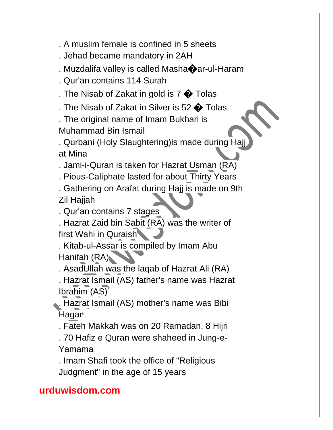. A muslim female is confined in 5 sheets

. Jehad became mandatory in 2AH

. Muzdalifa valley is called Masha�ar-ul-Haram

. Qur'an contains 114 Surah

. The Nisab of Zakat in gold is  $7 \bigcirc$  Tolas

. The Nisab of Zakat in Silver is 52  $\bigcirc$  Tolas

. The original name of Imam Bukhari is Muhammad Bin Ismail

. Qurbani (Holy Slaughtering)is made during Hajj at Mina

. Jami-i-Quran is taken for Hazrat Usman (RA)

. Pious-Caliphate lasted for about Thirty Years

. Gathering on Arafat during Hajj is made on 9th Zil Hajjah

. Qur'an contains 7 stages

. Hazrat Zaid bin Sabit (RA) was the writer of first Wahi in Quraish

. Kitab-ul-Assar is compiled by Imam Abu Hanifah (RA)

. AsadUllah was the laqab of Hazrat Ali (RA)

. Hazrat Ismail (AS) father's name was Hazrat Ibrahim (AS)

. Hazrat Ismail (AS) mother's name was Bibi Hagar

. Fateh Makkah was on 20 Ramadan, 8 Hijri

. 70 Hafiz e Quran were shaheed in Jung-e-Yamama

. Imam Shafi took the office of "Religious Judgment" in the age of 15 years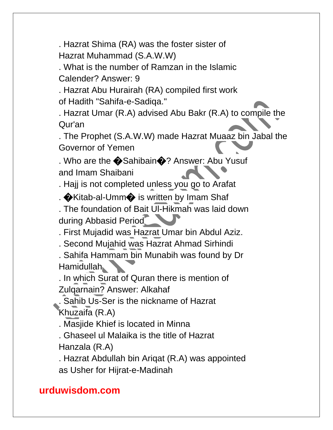. Hazrat Shima (RA) was the foster sister of Hazrat Muhammad (S.A.W.W)

. What is the number of Ramzan in the Islamic Calender? Answer: 9

. Hazrat Abu Hurairah (RA) compiled first work of Hadith "Sahifa-e-Sadiqa."

. Hazrat Umar (R.A) advised Abu Bakr (R.A) to compile the Qur'an

. The Prophet (S.A.W.W) made Hazrat Muaaz bin Jabal the Governor of Yemen

. Who are the  $\bigcirc$  Sahibain $\bigcirc$ ? Answer: Abu Yusuf and Imam Shaibani

. Hajj is not completed unless you go to Arafat

.  $\bigcirc$ Kitab-al-Umm $\bigcirc$  is written by Imam Shaf

. The foundation of Bait Ul-Hikmah was laid down during Abbasid Period

. First Mujadid was Hazrat Umar bin Abdul Aziz.

. Second Mujahid was Hazrat Ahmad Sirhindi

. Sahifa Hammam bin Munabih was found by Dr Hamidullah

. In which Surat of Quran there is mention of Zulqarnain? Answer: Alkahaf

. Sahib Us-Ser is the nickname of Hazrat Khuzaifa (R.A)

. Masjide Khief is located in Minna

. Ghaseel ul Malaika is the title of Hazrat Hanzala (R.A)

. Hazrat Abdullah bin Ariqat (R.A) was appointed as Usher for Hijrat-e-Madinah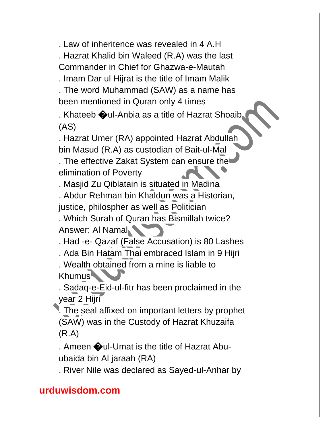. Law of inheritence was revealed in 4 A.H

. Hazrat Khalid bin Waleed (R.A) was the last

Commander in Chief for Ghazwa-e-Mautah

. Imam Dar ul Hijrat is the title of Imam Malik

. The word Muhammad (SAW) as a name has been mentioned in Quran only 4 times

. Khateeb  $\bigcirc$ ul-Anbia as a title of Hazrat Shoaib (AS)

. Hazrat Umer (RA) appointed Hazrat Abdullah bin Masud (R.A) as custodian of Bait-ul-Mal

. The effective Zakat System can ensure the elimination of Poverty

. Masjid Zu Qiblatain is situated in Madina . Abdur Rehman bin Khaldun was a Historian, justice, philospher as well as Politician

. Which Surah of Quran has Bismillah twice? Answer: Al Namal

. Had -e- Qazaf (False Accusation) is 80 Lashes

. Ada Bin Hatam Thai embraced Islam in 9 Hijri

. Wealth obtained from a mine is liable to Khumus

. Sadaq-e-Eid-ul-fitr has been proclaimed in the year 2 Hijri

. The seal affixed on important letters by prophet (SAW) was in the Custody of Hazrat Khuzaifa (R.A)

. Ameen  $\bigcirc$ ul-Umat is the title of Hazrat Abuubaida bin Al jaraah (RA)

. River Nile was declared as Sayed-ul-Anhar by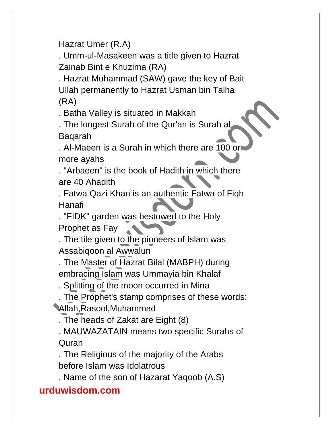Hazrat Umer (R.A)

. Umm-ul-Masakeen was a title given to Hazrat Zainab Bint e Khuzima (RA)

. Hazrat Muhammad (SAW) gave the key of Bait Ullah permanently to Hazrat Usman bin Talha (RA)

. Batha Valley is situated in Makkah

. The longest Surah of the Qur'an is Surah al Baqarah

. Al-Maeen is a Surah in which there are 100 or more ayahs

. "Arbaeen" is the book of Hadith in which there are 40 Ahadith

. Fatwa Qazi Khan is an authentic Fatwa of Fiqh Hanafi

. "FIDK" garden was bestowed to the Holy **CONTRACTOR** Prophet as Fay

. The tile given to the pioneers of Islam was Assabiqoon al Awwalun

. The Master of Hazrat Bilal (MABPH) during embracing Islam was Ummayia bin Khalaf

. Splitting of the moon occurred in Mina

. The Prophet's stamp comprises of these words: Allah,Rasool,Muhammad

. The heads of Zakat are Eight (8)

. MAUWAZATAIN means two specific Surahs of Quran

. The Religious of the majority of the Arabs before Islam was Idolatrous

. Name of the son of Hazarat Yaqoob (A.S)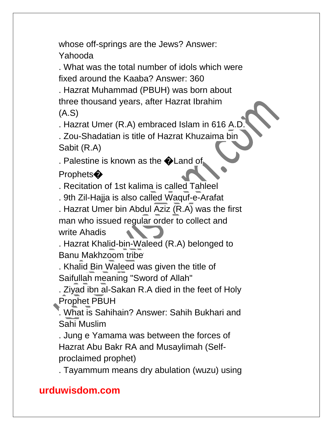whose off-springs are the Jews? Answer: Yahooda

. What was the total number of idols which were fixed around the Kaaba? Answer: 360

. Hazrat Muhammad (PBUH) was born about three thousand years, after Hazrat Ibrahim (A.S)

. Hazrat Umer (R.A) embraced Islam in 616 A.D.

. Zou-Shadatian is title of Hazrat Khuzaima bin Sabit (R.A)

. Palestine is known as the **OLand of** 

Prophets<sup>�</sup>

. Recitation of 1st kalima is called Tahleel

. 9th Zil-Hajja is also called Waquf-e-Arafat

. Hazrat Umer bin Abdul Aziz (R.A) was the first man who issued regular order to collect and write Ahadis

. Hazrat Khalid-bin-Waleed (R.A) belonged to Banu Makhzoom tribe

. Khalid Bin Waleed was given the title of Saifullah meaning "Sword of Allah"

. Ziyad ibn al-Sakan R.A died in the feet of Holy Prophet PBUH

. What is Sahihain? Answer: Sahih Bukhari and Sahi Muslim

. Jung e Yamama was between the forces of Hazrat Abu Bakr RA and Musaylimah (Selfproclaimed prophet)

. Tayammum means dry abulation (wuzu) using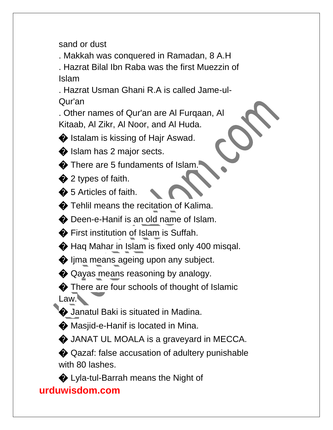sand or dust

. Makkah was conquered in Ramadan, 8 A.H . Hazrat Bilal Ibn Raba was the first Muezzin of Islam

. Hazrat Usman Ghani R.A is called Jame-ul-Qur'an

. Other names of Qur'an are Al Furqaan, Al Kitaab, Al Zikr, Al Noor, and Al Huda.

 $\bullet$  Istalam is kissing of Hajr Aswad.

Solislam has 2 major sects.

 $\bullet$  There are 5 fundaments of Islam.

 $\bullet$  2 types of faith.

 $\clubsuit$  5 Articles of faith.

 $\bullet$  Tehlil means the recitation of Kalima.

� Deen-e-Hanif is an old name of Islam.

� First institution of Islam is Suffah.

 $\bigcirc$  Haq Mahar in Islam is fixed only 400 misqal.

 $\bullet$  lima means ageing upon any subject.

 $\bigcirc$  Qayas means reasoning by analogy.

 $\bullet$  There are four schools of thought of Islamic Law.

 $\bullet$  Janatul Baki is situated in Madina.

 $\bullet$  Masjid-e-Hanif is located in Mina.

 $\bullet$  JANAT UL MOALA is a graveyard in MECCA.

� Qazaf: false accusation of adultery punishable with 80 lashes.

� Lyla-tul-Barrah means the Night of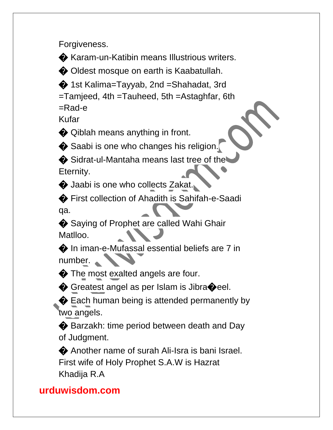Forgiveness.

� Karam-un-Katibin means Illustrious writers.

� Oldest mosque on earth is Kaabatullah.

� 1st Kalima=Tayyab, 2nd =Shahadat, 3rd

=Tamjeed, 4th =Tauheed, 5th =Astaghfar, 6th

=Rad-e

Kufar

 $\bullet$  Qiblah means anything in front.

 $\bullet$  Saabi is one who changes his religion.

 $\bigcirc$  Sidrat-ul-Mantaha means last tree of the Eternity.

 $\bullet$  Jaabi is one who collects Zakat.

� First collection of Ahadith is Sahifah-e-Saadi qa.

♦ Saying of Prophet are called Wahi Ghair Matlloo.  $\blacksquare$ 

� In iman-e-Mufassal essential beliefs are 7 in number.

 $\bullet$  The most exalted angels are four.

◆ Greatest angel as per Islam is Jibra◆eel.

**◆** Each human being is attended permanently by two angels.

◆ Barzakh: time period between death and Day of Judgment.

� Another name of surah Ali-Isra is bani Israel. First wife of Holy Prophet S.A.W is Hazrat Khadija R.A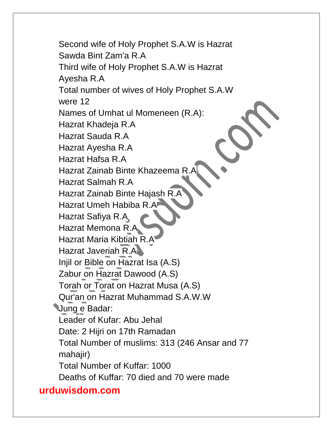Second wife of Holy Prophet S.A.W is Hazrat Sawda Bint Zam'a R.A Third wife of Holy Prophet S.A.W is Hazrat Ayesha R.A Total number of wives of Holy Prophet S.A.W were 12 Names of Umhat ul Momeneen (R.A): Hazrat Khadeja R.A Hazrat Sauda R.A Hazrat Ayesha R.A Hazrat Hafsa R.A Hazrat Zainab Binte Khazeema R. Hazrat Salmah R.A Hazrat Zainab Binte Hajash R.A Hazrat Umeh Habiba R.A Hazrat Safiya R.A Hazrat Memona R.A Hazrat Maria Kibtiah R.A Hazrat Javeriah R.A Injil or Bible on Hazrat Isa (A.S) Zabur on Hazrat Dawood (A.S) Torah or Torat on Hazrat Musa (A.S) Qur'an on Hazrat Muhammad S.A.W.W Jung e Badar: Leader of Kufar: Abu Jehal Date: 2 Hijri on 17th Ramadan Total Number of muslims: 313 (246 Ansar and 77 mahajir) Total Number of Kuffar: 1000 Deaths of Kuffar: 70 died and 70 were made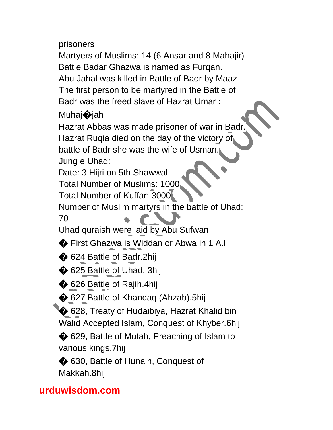prisoners

Martyers of Muslims: 14 (6 Ansar and 8 Mahajir) Battle Badar Ghazwa is named as Furqan. Abu Jahal was killed in Battle of Badr by Maaz The first person to be martyred in the Battle of Badr was the freed slave of Hazrat Umar :

#### Muhaj�jah

Hazrat Abbas was made prisoner of war in Badr. Hazrat Ruqia died on the day of the victory of battle of Badr she was the wife of Usman. Jung e Uhad:

Date: 3 Hijri on 5th Shawwal

Total Number of Muslims: 1000

Total Number of Kuffar: 3000

Number of Muslim martyrs in the battle of Uhad:

70

Uhad quraish were laid by Abu Sufwan

� First Ghazwa is Widdan or Abwa in 1 A.H

◆ 624 Battle of Badr.2hij

**♦ 625 Battle of Uhad. 3hij** 

**♦ 626 Battle of Rajih.4hij** 

 $\bigcirc$  627 Battle of Khandaq (Ahzab).5hij

♦ 628, Treaty of Hudaibiya, Hazrat Khalid bin Walid Accepted Islam, Conquest of Khyber.6hij

◆ 629, Battle of Mutah, Preaching of Islam to various kings.7hij

 $\bigcirc$  630, Battle of Hunain, Conquest of Makkah.8hij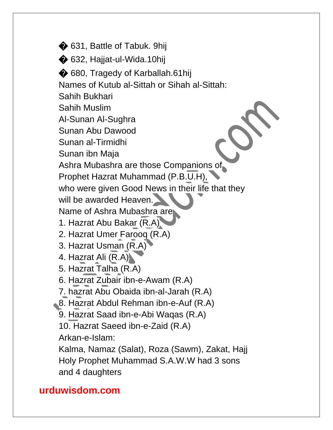$\bigcirc$  631, Battle of Tabuk. 9hij  $\bigcirc$  632, Haijat-ul-Wida.10hij  $\bigcirc$  680, Tragedy of Karballah.61hij Names of Kutub al-Sittah or Sihah al-Sittah: Sahih Bukhari Sahih Muslim Al-Sunan Al-Sughra Sunan Abu Dawood Sunan al-Tirmidhi Sunan ibn Maja Ashra Mubashra are those Companions of Prophet Hazrat Muhammad (P.B.U.H), who were given Good News in their life that they will be awarded Heaven. Name of Ashra Mubashra are 1. Hazrat Abu Bakar (R.A) 2. Hazrat Umer Farooq (R.A) 3. Hazrat Usman (R.A) 4. Hazrat Ali (R.A) 5. Hazrat Talha (R.A) 6. Hazrat Zubair ibn-e-Awam (R.A) 7. hazrat Abu Obaida ibn-al-Jarah (R.A) 8. Hazrat Abdul Rehman ibn-e-Auf (R.A) 9. Hazrat Saad ibn-e-Abi Waqas (R.A) 10. Hazrat Saeed ibn-e-Zaid (R.A) Arkan-e-Islam: Kalma, Namaz (Salat), Roza (Sawm), Zakat, Hajj Holy Prophet Muhammad S.A.W.W had 3 sons and 4 daughters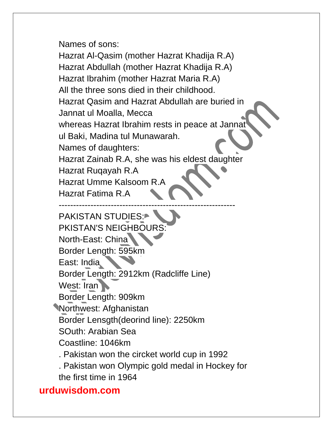Names of sons:

Hazrat Al-Qasim (mother Hazrat Khadija R.A) Hazrat Abdullah (mother Hazrat Khadija R.A) Hazrat Ibrahim (mother Hazrat Maria R.A) All the three sons died in their childhood. Hazrat Qasim and Hazrat Abdullah are buried in Jannat ul Moalla, Mecca whereas Hazrat Ibrahim rests in peace at Jannat ul Baki, Madina tul Munawarah. Names of daughters: Hazrat Zainab R.A, she was his eldest daughter Hazrat Ruqayah R.A Hazrat Umme Kalsoom R.A Hazrat Fatima R.A -------------------------------------------------------------

PAKISTAN STUDIES: PKISTAN'S NEIGHBOURS: North-East: China Border Length: 595km East: India Border Length: 2912km (Radcliffe Line) West: Iran Border Length: 909km Northwest: Afghanistan Border Lensgth(deorind line): 2250km SOuth: Arabian Sea Coastline: 1046km . Pakistan won the circket world cup in 1992 . Pakistan won Olympic gold medal in Hockey for the first time in 1964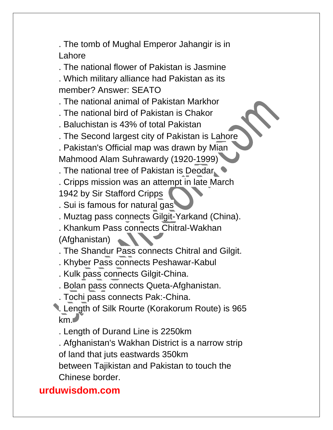. The tomb of Mughal Emperor Jahangir is in Lahore

. The national flower of Pakistan is Jasmine

. Which military alliance had Pakistan as its member? Answer: SEATO

. The national animal of Pakistan Markhor

- . The national bird of Pakistan is Chakor
- . Baluchistan is 43% of total Pakistan

. The Second largest city of Pakistan is Lahore

. Pakistan's Official map was drawn by Mian

Mahmood Alam Suhrawardy (1920-1999)

. The national tree of Pakistan is Deodar

. Cripps mission was an attempt in late March

- 1942 by Sir Stafford Cripps
- . Sui is famous for natural gas
- . Muztag pass connects Gilgit-Yarkand (China).
- . Khankum Pass connects Chitral-Wakhan

(Afghanistan)

- . The Shandur Pass connects Chitral and Gilgit.
- . Khyber Pass connects Peshawar-Kabul
- . Kulk pass connects Gilgit-China.

. Bolan pass connects Queta-Afghanistan.

- . Tochi pass connects Pak:-China.
- . Length of Silk Rourte (Korakorum Route) is 965 km.

. Length of Durand Line is 2250km

. Afghanistan's Wakhan District is a narrow strip of land that juts eastwards 350km

between Tajikistan and Pakistan to touch the Chinese border.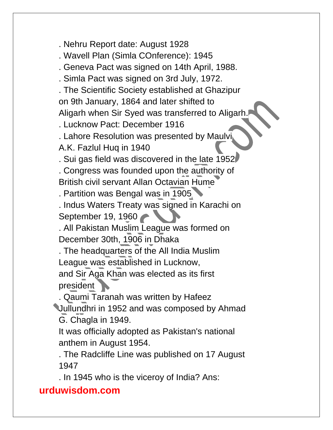. Nehru Report date: August 1928

. Wavell Plan (Simla COnference): 1945

. Geneva Pact was signed on 14th April, 1988.

. Simla Pact was signed on 3rd July, 1972.

. The Scientific Society established at Ghazipur on 9th January, 1864 and later shifted to Aligarh when Sir Syed was transferred to Aligarh.

. Lucknow Pact: December 1916

. Lahore Resolution was presented by Maulvi A.K. Fazlul Huq in 1940

. Sui gas field was discovered in the late 1952

. Congress was founded upon the authority of British civil servant Allan Octavian Hume

. Partition was Bengal was in 1905

. Indus Waters Treaty was signed in Karachi on September 19, 1960

. All Pakistan Muslim League was formed on December 30th, 1906 in Dhaka

. The headquarters of the All India Muslim League was established in Lucknow, and Sir Aga Khan was elected as its first

president

. Qaumi Taranah was written by Hafeez Jullundhri in 1952 and was composed by Ahmad G. Chagla in 1949.

It was officially adopted as Pakistan's national anthem in August 1954.

. The Radcliffe Line was published on 17 August 1947

. In 1945 who is the viceroy of India? Ans: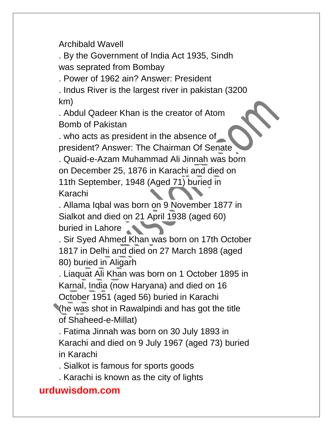Archibald Wavell

. By the Government of India Act 1935, Sindh was seprated from Bombay

. Power of 1962 ain? Answer: President

. Indus River is the largest river in pakistan (3200 km)

. Abdul Qadeer Khan is the creator of Atom Bomb of Pakistan

. who acts as president in the absence of president? Answer: The Chairman Of Senate

. Quaid-e-Azam Muhammad Ali Jinnah was born on December 25, 1876 in Karachi and died on 11th September, 1948 (Aged 71) buried in Karachi

. Allama Iqbal was born on 9 November 1877 in Sialkot and died on 21 April 1938 (aged 60) buried in Lahore

. Sir Syed Ahmed Khan was born on 17th October 1817 in Delhi and died on 27 March 1898 (aged 80) buried in Aligarh

. Liaquat Ali Khan was born on 1 October 1895 in Karnal, India (now Haryana) and died on 16 October 1951 (aged 56) buried in Karachi

(he was shot in Rawalpindi and has got the title of Shaheed-e-Millat)

. Fatima Jinnah was born on 30 July 1893 in Karachi and died on 9 July 1967 (aged 73) buried in Karachi

. Sialkot is famous for sports goods

. Karachi is known as the city of lights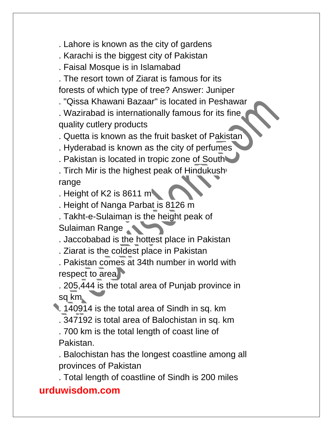. Lahore is known as the city of gardens

. Karachi is the biggest city of Pakistan

. Faisal Mosque is in Islamabad

. The resort town of Ziarat is famous for its forests of which type of tree? Answer: Juniper

. "Qissa Khawani Bazaar" is located in Peshawar

. Wazirabad is internationally famous for its fine quality cutlery products

. Quetta is known as the fruit basket of Pakistan

. Hyderabad is known as the city of perfumes

. Pakistan is located in tropic zone of South

. Tirch Mir is the highest peak of Hindukush range

. Height of K2 is  $8611 \text{ m}$ 

. Height of Nanga Parbat is 8126 m

. Takht-e-Sulaiman is the height peak of Sulaiman Range

. Jaccobabad is the hottest place in Pakistan

. Ziarat is the coldest place in Pakistan

. Pakistan comes at 34th number in world with respect to area

. 205,444 is the total area of Punjab province in sq km

. 140914 is the total area of Sindh in sq. km

. 347192 is total area of Balochistan in sq. km

. 700 km is the total length of coast line of Pakistan.

. Balochistan has the longest coastline among all provinces of Pakistan

. Total length of coastline of Sindh is 200 miles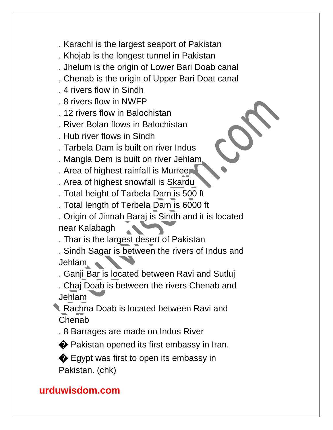- . Karachi is the largest seaport of Pakistan
- . Khojab is the longest tunnel in Pakistan
- . Jhelum is the origin of Lower Bari Doab canal
- , Chenab is the origin of Upper Bari Doat canal
- . 4 rivers flow in Sindh
- . 8 rivers flow in NWFP
- . 12 rivers flow in Balochistan
- . River Bolan flows in Balochistan
- . Hub river flows in Sindh
- . Tarbela Dam is built on river Indus
- . Mangla Dem is built on river Jehlam
- . Area of highest rainfall is Murree
- . Area of highest snowfall is Skardu
- . Total height of Tarbela Dam is 500 ft
- . Total length of Terbela Dam is 6000 ft
- . Origin of Jinnah Baraj is Sindh and it is located near Kalabagh
- . Thar is the largest desert of Pakistan
- . Sindh Sagar is between the rivers of Indus and Jehlam **A**
- . Ganji Bar is located between Ravi and Sutluj
- . Chaj Doab is between the rivers Chenab and Jehlam
- . Rachna Doab is located between Ravi and **Chenab** 
	- . 8 Barrages are made on Indus River
	- � Pakistan opened its first embassy in Iran.
	- $\bullet$  Egypt was first to open its embassy in Pakistan. (chk)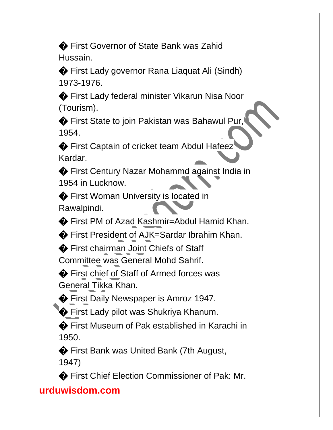� First Governor of State Bank was Zahid Hussain.

� First Lady governor Rana Liaquat Ali (Sindh) 1973-1976.

� First Lady federal minister Vikarun Nisa Noor (Tourism).

� First State to join Pakistan was Bahawul Pur, 1954.

♦ First Captain of cricket team Abdul Hafeez Kardar.

� First Century Nazar Mohammd against India in 1954 in Lucknow.

� First Woman University is located in Rawalpindi.

� First PM of Azad Kashmir=Abdul Hamid Khan.

� First President of AJK=Sardar Ibrahim Khan.

� First chairman Joint Chiefs of Staff Committee was General Mohd Sahrif.

◆ First chief of Staff of Armed forces was General Tikka Khan.

� First Daily Newspaper is Amroz 1947.

 $\bigcirc$  First Lady pilot was Shukriya Khanum.

� First Museum of Pak established in Karachi in 1950.

� First Bank was United Bank (7th August, 1947)

� First Chief Election Commissioner of Pak: Mr.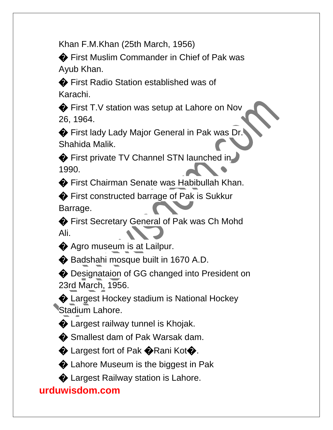Khan F.M.Khan (25th March, 1956)

◆ First Muslim Commander in Chief of Pak was Ayub Khan.

� First Radio Station established was of Karachi.

◆ First T.V station was setup at Lahore on Nov 26, 1964.

� First lady Lady Major General in Pak was Dr. Shahida Malik.

� First private TV Channel STN launched in 1990.

� First Chairman Senate was Habibullah Khan.

♦ First constructed barrage of Pak is Sukkur Barrage.

◆ First Secretary General of Pak was Ch Mohd Ali.

 $\bigcirc$  Agro museum is at Lailpur.

� Badshahi mosque built in 1670 A.D.

◆ Designataion of GG changed into President on 23rd March, 1956.

� Largest Hockey stadium is National Hockey Stadium Lahore.

 $\bullet$  Largest railway tunnel is Khojak.

 $\bullet$  Smallest dam of Pak Warsak dam.

 $\bullet$  Largest fort of Pak  $\bullet$  Rani Kot $\bullet$ .

 $\bullet$  Lahore Museum is the biggest in Pak

 $\bullet$  Largest Railway station is Lahore.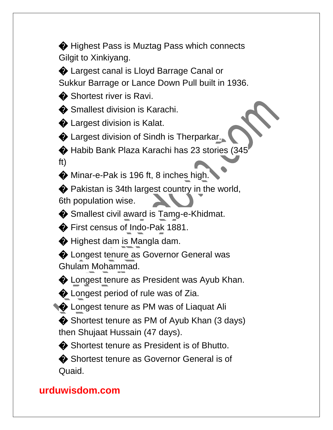$\bigcirc$  Highest Pass is Muztag Pass which connects Gilgit to Xinkiyang.

� Largest canal is Lloyd Barrage Canal or Sukkur Barrage or Lance Down Pull built in 1936.

**◆ Shortest river is Ravi.** 

 $\bullet$  Smallest division is Karachi.

 $\bullet$  Largest division is Kalat.

 $\bullet$  Largest division of Sindh is Therparkar.

◆ Habib Bank Plaza Karachi has 23 stories (345 ft)

 $\bullet$  Minar-e-Pak is 196 ft, 8 inches high.

� Pakistan is 34th largest country in the world, 6th population wise.

� Smallest civil award is Tamg-e-Khidmat.

� First census of Indo-Pak 1881.

 $\bigcirc$  Highest dam is Mangla dam.

 $\bigcirc$  Longest tenure as Governor General was Ghulam Mohammad.

 $\bullet$  Longest tenure as President was Ayub Khan.

 $\bullet$  Longest period of rule was of Zia.

 $\bigcirc$  Longest tenure as PM was of Liaquat Ali

◆ Shortest tenure as PM of Ayub Khan (3 days) then Shujaat Hussain (47 days).

◆ Shortest tenure as President is of Bhutto.

◆ Shortest tenure as Governor General is of Quaid.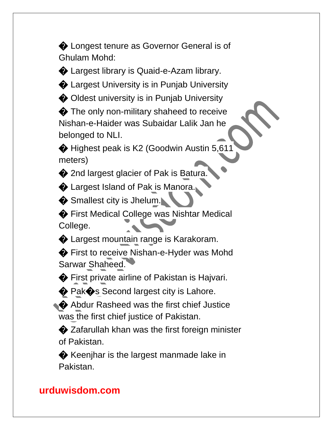$\bigcirc$  Longest tenure as Governor General is of Ghulam Mohd:

� Largest library is Quaid-e-Azam library.

� Largest University is in Punjab University

**◆ Oldest university is in Punjab University** 

 $\bigcirc$  The only non-military shaheed to receive Nishan-e-Haider was Subaidar Lalik Jan he belonged to NLI.

 $\bullet$  Highest peak is K2 (Goodwin Austin 5,611) meters)

 $\bullet$  2nd largest glacier of Pak is Batura.

 $\bigcirc$  Largest Island of Pak is Manora.

Smallest city is Jhelum.

� First Medical College was Nishtar Medical College.

 $\bigcirc$  Largest mountain range is Karakoram.

� First to receive Nishan-e-Hyder was Mohd Sarwar Shaheed.

**◆** First private airline of Pakistan is Hajvari.

 $\bigcirc$  Pak $\bigcirc$ s Second largest city is Lahore.

♦ Abdur Rasheed was the first chief Justice was the first chief justice of Pakistan.

**◆ Zafarullah khan was the first foreign minister** of Pakistan.

**◆** Keenjhar is the largest manmade lake in Pakistan.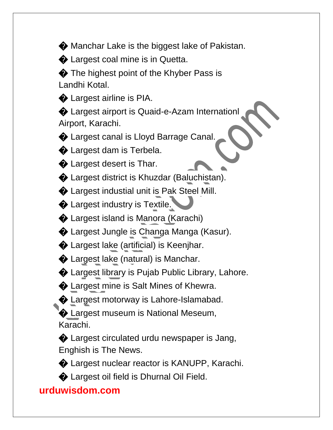$\bullet$  Manchar Lake is the biggest lake of Pakistan.

 $\bullet$  Largest coal mine is in Quetta.

 $\bullet$  The highest point of the Khyber Pass is Landhi Kotal.

 $\bullet$  Largest airline is PIA.

� Largest airport is Quaid-e-Azam Internationl Airport, Karachi.

 $\bigcirc$  Largest canal is Lloyd Barrage Canal.

 $\bigcirc$  Largest dam is Terbela.

 $\bullet$  Largest desert is Thar.

� Largest district is Khuzdar (Baluchistan).

� Largest industial unit is Pak Steel Mill.

 $\bigcirc$  Largest industry is Textile.

� Largest island is Manora (Karachi)

� Largest Jungle is Changa Manga (Kasur).

� Largest lake (artificial) is Keenjhar.

 $\bullet$  Largest lake (natural) is Manchar.

� Largest library is Pujab Public Library, Lahore.

 $\bullet$  Largest mine is Salt Mines of Khewra.

 $\bigcirc$  Largest motorway is Lahore-Islamabad.

**• Largest museum is National Meseum,** Karachi.

� Largest circulated urdu newspaper is Jang, Enghish is The News.

� Largest nuclear reactor is KANUPP, Karachi.

� Largest oil field is Dhurnal Oil Field.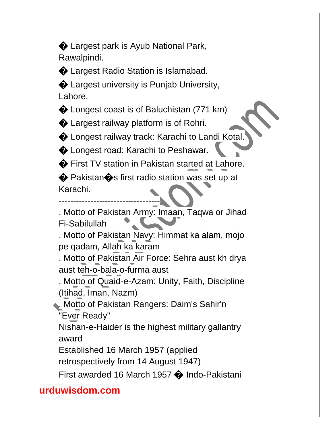� Largest park is Ayub National Park, Rawalpindi.

� Largest Radio Station is Islamabad.

� Largest university is Punjab University, Lahore.

 $\bullet$  Longest coast is of Baluchistan (771 km)

 $\bullet$  Largest railway platform is of Rohri.

 $\bigcirc$  Longest railway track: Karachi to Landi Kotal.

 $\bigcirc$  Longest road: Karachi to Peshawar.

� First TV station in Pakistan started at Lahore.

◆ Pakistan◆s first radio station was set up at Karachi.

-----------------------------------

. Motto of Pakistan Army: Imaan, Taqwa or Jihad Fi-Sabilullah

. Motto of Pakistan Navy: Himmat ka alam, mojo pe qadam, Allah ka karam

. Motto of Pakistan Air Force: Sehra aust kh drya aust teh-o-bala-o-furma aust

. Motto of Quaid-e-Azam: Unity, Faith, Discipline (Itihad, Iman, Nazm)

. Motto of Pakistan Rangers: Daim's Sahir'n "Ever Ready"

Nishan-e-Haider is the highest military gallantry award

Established 16 March 1957 (applied

retrospectively from 14 August 1947)

First awarded 16 March 1957 � Indo-Pakistani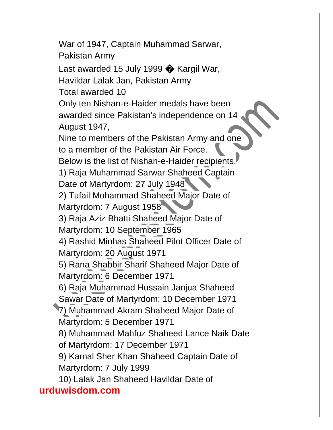**urduwisdom.com** War of 1947, Captain Muhammad Sarwar, Pakistan Army Last awarded 15 July 1999  $\bullet$  Kargil War, Havildar Lalak Jan, Pakistan Army Total awarded 10 Only ten Nishan-e-Haider medals have been awarded since Pakistan's independence on 14 August 1947, Nine to members of the Pakistan Army and one to a member of the Pakistan Air Force. Below is the list of Nishan-e-Haider recipients. 1) Raja Muhammad Sarwar Shaheed Captain Date of Martyrdom: 27 July 1948 2) Tufail Mohammad Shaheed Major Date of Martyrdom: 7 August 1958 3) Raja Aziz Bhatti Shaheed Major Date of Martyrdom: 10 September 1965 4) Rashid Minhas Shaheed Pilot Officer Date of Martyrdom: 20 August 1971 5) Rana Shabbir Sharif Shaheed Major Date of Martyrdom: 6 December 1971 6) Raja Muhammad Hussain Janjua Shaheed Sawar Date of Martyrdom: 10 December 1971 7) Muhammad Akram Shaheed Major Date of Martyrdom: 5 December 1971 8) Muhammad Mahfuz Shaheed Lance Naik Date of Martyrdom: 17 December 1971 9) Karnal Sher Khan Shaheed Captain Date of Martyrdom: 7 July 1999 10) Lalak Jan Shaheed Havildar Date of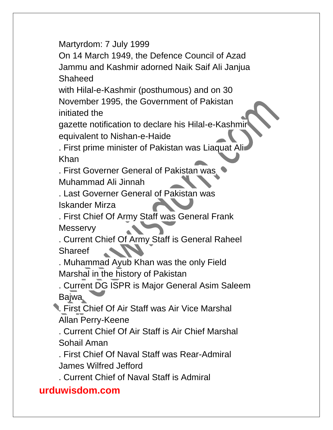Martyrdom: 7 July 1999

On 14 March 1949, the Defence Council of Azad Jammu and Kashmir adorned Naik Saif Ali Janjua Shaheed

with Hilal-e-Kashmir (posthumous) and on 30 November 1995, the Government of Pakistan initiated the

gazette notification to declare his Hilal-e-Kashmir equivalent to Nishan-e-Haide

. First prime minister of Pakistan was Liaquat A Khan

. First Governer General of Pakistan was Muhammad Ali Jinnah

. Last Governer General of Pakistan was Iskander Mirza

. First Chief Of Army Staff was General Frank **Messervy** 

. Current Chief Of Army Staff is General Raheel **Shareef** 

. Muhammad Ayub Khan was the only Field Marshal in the history of Pakistan

. Current DG ISPR is Major General Asim Saleem Bajwa

. First Chief Of Air Staff was Air Vice Marshal Allan Perry-Keene

. Current Chief Of Air Staff is Air Chief Marshal Sohail Aman

. First Chief Of Naval Staff was Rear-Admiral James Wilfred Jefford

. Current Chief of Naval Staff is Admiral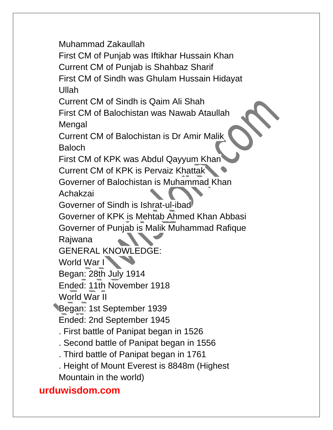Muhammad Zakaullah

First CM of Punjab was Iftikhar Hussain Khan

Current CM of Punjab is Shahbaz Sharif

First CM of Sindh was Ghulam Hussain Hidayat Ullah

Current CM of Sindh is Qaim Ali Shah

First CM of Balochistan was Nawab Ataullah Mengal

Current CM of Balochistan is Dr Amir Malik Baloch

First CM of KPK was Abdul Qayyum Khan

Current CM of KPK is Pervaiz Khattak

Governer of Balochistan is Muhammad Khan

Achakzai

Governer of Sindh is Ishrat-ul-ibad

Governer of KPK is Mehtab Ahmed Khan Abbasi Governer of Punjab is Malik Muhammad Rafique

Rajwana

GENERAL KNOWLEDGE:

World War I

Began: 28th July 1914

Ended: 11th November 1918

World War II

Began: 1st September 1939

Ended: 2nd September 1945

. First battle of Panipat began in 1526

. Second battle of Panipat began in 1556

. Third battle of Panipat began in 1761

. Height of Mount Everest is 8848m (Highest

Mountain in the world)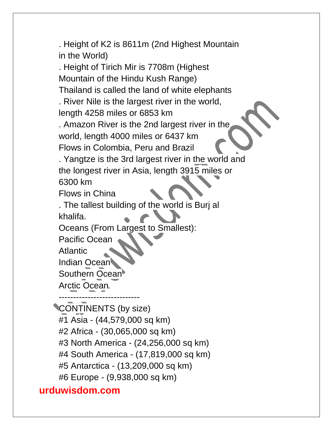. Height of K2 is 8611m (2nd Highest Mountain in the World)

. Height of Tirich Mir is 7708m (Highest Mountain of the Hindu Kush Range) Thailand is called the land of white elephants . River Nile is the largest river in the world, length 4258 miles or 6853 km . Amazon River is the 2nd largest river in the world, length 4000 miles or 6437 km

Flows in Colombia, Peru and Brazil

. Yangtze is the 3rd largest river in the world and the longest river in Asia, length 3915 miles or 6300 km

Flows in China

. The tallest building of the world is Burj al khalifa.

Oceans (From Largest to Smallest):

Pacific Ocean

Atlantic

Indian Ocean

Southern Ocean

Arctic Ocean

---------------------------- CONTINENTS (by size) #1 Asia - (44,579,000 sq km) #2 Africa - (30,065,000 sq km) #3 North America - (24,256,000 sq km) #4 South America - (17,819,000 sq km) #5 Antarctica - (13,209,000 sq km) #6 Europe - (9,938,000 sq km)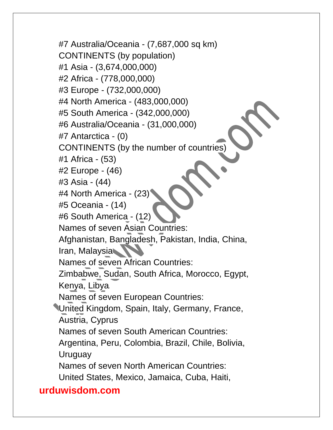#7 Australia/Oceania - (7,687,000 sq km) CONTINENTS (by population) #1 Asia - (3,674,000,000) #2 Africa - (778,000,000) #3 Europe - (732,000,000) #4 North America - (483,000,000) #5 South America - (342,000,000) #6 Australia/Oceania - (31,000,000) #7 Antarctica - (0) CONTINENTS (by the number of countries) #1 Africa - (53) #2 Europe - (46) #3 Asia - (44) #4 North America - (23) #5 Oceania - (14) #6 South America - (12) Names of seven Asian Countries: Afghanistan, Bangladesh, Pakistan, India, China, Iran, Malaysia Names of seven African Countries: Zimbabwe, Sudan, South Africa, Morocco, Egypt, Kenya, Libya Names of seven European Countries: United Kingdom, Spain, Italy, Germany, France, Austria, Cyprus Names of seven South American Countries: Argentina, Peru, Colombia, Brazil, Chile, Bolivia, Uruguay Names of seven North American Countries: United States, Mexico, Jamaica, Cuba, Haiti,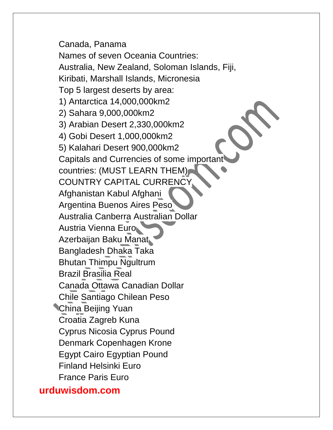Canada, Panama Names of seven Oceania Countries: Australia, New Zealand, Soloman Islands, Fiji, Kiribati, Marshall Islands, Micronesia Top 5 largest deserts by area: 1) Antarctica 14,000,000km2 2) Sahara 9,000,000km2 3) Arabian Desert 2,330,000km2 4) Gobi Desert 1,000,000km2 5) Kalahari Desert 900,000km2 Capitals and Currencies of some important countries: (MUST LEARN THEM) COUNTRY CAPITAL CURRENCY Afghanistan Kabul Afghani Argentina Buenos Aires Peso Australia Canberra Australian Dollar Austria Vienna Euro Azerbaijan Baku Manat Bangladesh Dhaka Taka Bhutan Thimpu Ngultrum Brazil Brasilia Real Canada Ottawa Canadian Dollar Chile Santiago Chilean Peso China Beijing Yuan Croatia Zagreb Kuna Cyprus Nicosia Cyprus Pound Denmark Copenhagen Krone Egypt Cairo Egyptian Pound Finland Helsinki Euro France Paris Euro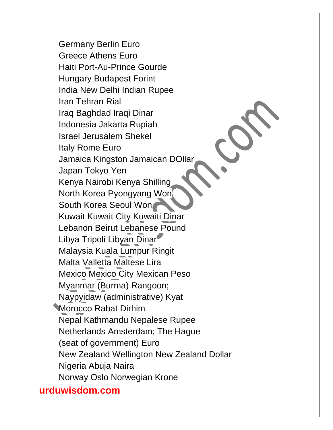Germany Berlin Euro Greece Athens Euro Haiti Port-Au-Prince Gourde Hungary Budapest Forint India New Delhi Indian Rupee Iran Tehran Rial Iraq Baghdad Iraqi Dinar Indonesia Jakarta Rupiah Israel Jerusalem Shekel Italy Rome Euro Jamaica Kingston Jamaican DOllar Japan Tokyo Yen Kenya Nairobi Kenya Shilling North Korea Pyongyang Won South Korea Seoul Won Kuwait Kuwait City Kuwaiti Dinar Lebanon Beirut Lebanese Pound Libya Tripoli Libyan Dinar Malaysia Kuala Lumpur Ringit Malta Valletta Maltese Lira Mexico Mexico City Mexican Peso Myanmar (Burma) Rangoon; Naypyidaw (administrative) Kyat Morocco Rabat Dirhim Nepal Kathmandu Nepalese Rupee Netherlands Amsterdam; The Hague (seat of government) Euro New Zealand Wellington New Zealand Dollar Nigeria Abuja Naira Norway Oslo Norwegian Krone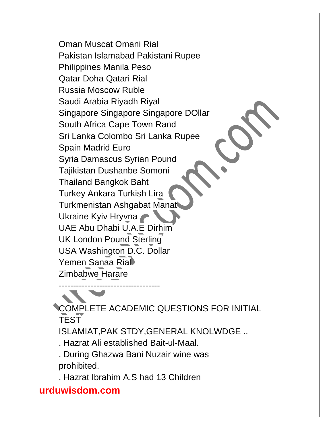Oman Muscat Omani Rial Pakistan Islamabad Pakistani Rupee Philippines Manila Peso Qatar Doha Qatari Rial Russia Moscow Ruble Saudi Arabia Riyadh Riyal Singapore Singapore Singapore DOllar South Africa Cape Town Rand Sri Lanka Colombo Sri Lanka Rupee Spain Madrid Euro Syria Damascus Syrian Pound Tajikistan Dushanbe Somoni Thailand Bangkok Baht Turkey Ankara Turkish Lira Turkmenistan Ashgabat Manat Ukraine Kyiv Hryvna UAE Abu Dhabi U.A.E Dirhim UK London Pound Sterling USA Washington D.C. Dollar Yemen Sanaa Rial Zimbabwe Harare -----------------------------------

COMPLETE ACADEMIC QUESTIONS FOR INITIAL **TEST** 

ISLAMIAT,PAK STDY,GENERAL KNOLWDGE ..

. Hazrat Ali established Bait-ul-Maal.

. During Ghazwa Bani Nuzair wine was prohibited.

. Hazrat Ibrahim A.S had 13 Children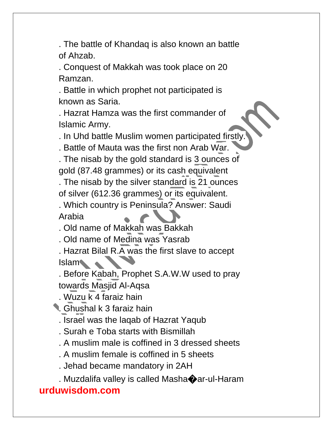. The battle of Khandaq is also known an battle of Ahzab.

. Conquest of Makkah was took place on 20 Ramzan.

. Battle in which prophet not participated is known as Saria.

. Hazrat Hamza was the first commander of Islamic Army.

. In Uhd battle Muslim women participated firstly.

. Battle of Mauta was the first non Arab War.

. The nisab by the gold standard is 3 ounces of gold (87.48 grammes) or its cash equivalent

. The nisab by the silver standard is 21 ounces

of silver (612.36 grammes) or its equivalent.

. Which country is Peninsula? Answer: Saudi Arabia

. Old name of Makkah was Bakkah

. Old name of Medina was Yasrab

. Hazrat Bilal R.A was the first slave to accept Islam 4

. Before Kabah, Prophet S.A.W.W used to pray towards Masjid Al-Aqsa

. Wuzu k 4 faraiz hain

. Ghushal k 3 faraiz hain

. Israel was the laqab of Hazrat Yaqub

- . Surah e Toba starts with Bismillah
- . A muslim male is coffined in 3 dressed sheets

. A muslim female is coffined in 5 sheets

. Jehad became mandatory in 2AH

. Muzdalifa valley is called Masha�ar-ul-Haram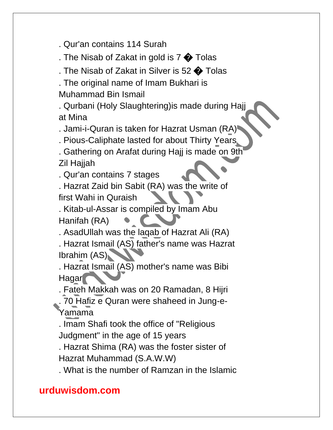. Qur'an contains 114 Surah

. The Nisab of Zakat in gold is  $7 \bigcirc$  Tolas

. The Nisab of Zakat in Silver is 52  $\bigcirc$  Tolas

. The original name of Imam Bukhari is Muhammad Bin Ismail

. Qurbani (Holy Slaughtering)is made during Hajj at Mina

. Jami-i-Quran is taken for Hazrat Usman (RA)

. Pious-Caliphate lasted for about Thirty Years

. Gathering on Arafat during Hajj is made on 9th Zil Hajjah

. Qur'an contains 7 stages

. Hazrat Zaid bin Sabit (RA) was the write of first Wahi in Quraish

. Kitab-ul-Assar is compiled by Imam Abu Hanifah (RA)

. AsadUllah was the laqab of Hazrat Ali (RA)

. Hazrat Ismail (AS) father's name was Hazrat Ibrahim (AS)

. Hazrat Ismail (AS) mother's name was Bibi Hagar

. Fateh Makkah was on 20 Ramadan, 8 Hijri

. 70 Hafiz e Quran were shaheed in Jung-e-Yamama

. Imam Shafi took the office of "Religious Judgment" in the age of 15 years

. Hazrat Shima (RA) was the foster sister of Hazrat Muhammad (S.A.W.W)

. What is the number of Ramzan in the Islamic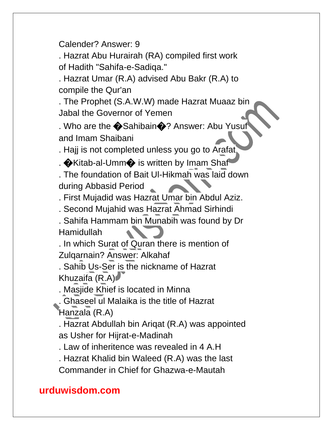Calender? Answer: 9

. Hazrat Abu Hurairah (RA) compiled first work of Hadith "Sahifa-e-Sadiqa."

. Hazrat Umar (R.A) advised Abu Bakr (R.A) to compile the Qur'an

. The Prophet (S.A.W.W) made Hazrat Muaaz bin Jabal the Governor of Yemen

. Who are the  $\bigcirc$ Sahibain $\bigcirc$ ? Answer: Abu Yusuf and Imam Shaibani

. Hajj is not completed unless you go to Arafat

.  $\bigcirc$ Kitab-al-Umm $\bigcirc$  is written by Imam Shaf

. The foundation of Bait Ul-Hikmah was laid down during Abbasid Period

. First Mujadid was Hazrat Umar bin Abdul Aziz.

. Second Mujahid was Hazrat Ahmad Sirhindi

. Sahifa Hammam bin Munabih was found by Dr Hamidullah

. In which Surat of Quran there is mention of Zulqarnain? Answer: Alkahaf

. Sahib Us-Ser is the nickname of Hazrat Khuzaifa (R.A)

. Masjide Khief is located in Minna

. Ghaseel ul Malaika is the title of Hazrat

Hanzala (R.A)

. Hazrat Abdullah bin Ariqat (R.A) was appointed as Usher for Hijrat-e-Madinah

. Law of inheritence was revealed in 4 A.H

. Hazrat Khalid bin Waleed (R.A) was the last Commander in Chief for Ghazwa-e-Mautah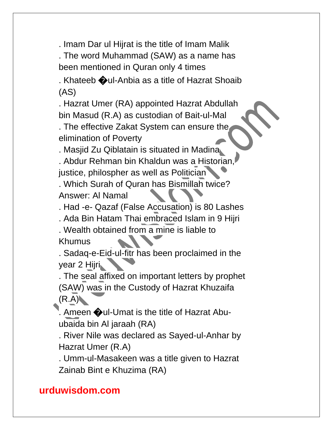. Imam Dar ul Hijrat is the title of Imam Malik

. The word Muhammad (SAW) as a name has been mentioned in Quran only 4 times

. Khateeb �ul-Anbia as a title of Hazrat Shoaib (AS)

. Hazrat Umer (RA) appointed Hazrat Abdullah bin Masud (R.A) as custodian of Bait-ul-Mal

. The effective Zakat System can ensure the elimination of Poverty

. Masjid Zu Qiblatain is situated in Madina

. Abdur Rehman bin Khaldun was a Historian, justice, philospher as well as Politician

. Which Surah of Quran has Bismillah twice? Answer: Al Namal

. Had -e- Qazaf (False Accusation) is 80 Lashes

. Ada Bin Hatam Thai embraced Islam in 9 Hijri

. Wealth obtained from a mine is liable to Khumus

. Sadaq-e-Eid-ul-fitr has been proclaimed in the year 2 Hijri

. The seal affixed on important letters by prophet (SAW) was in the Custody of Hazrat Khuzaifa  $(R.A)$ 

. Ameen  $\bigcirc$ ul-Umat is the title of Hazrat Abuubaida bin Al jaraah (RA)

. River Nile was declared as Sayed-ul-Anhar by Hazrat Umer (R.A)

. Umm-ul-Masakeen was a title given to Hazrat Zainab Bint e Khuzima (RA)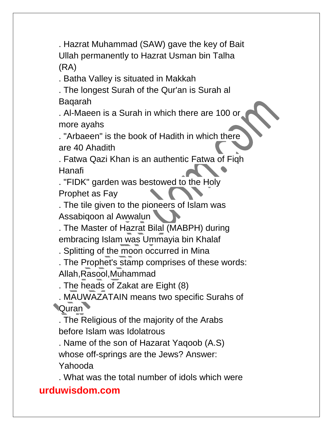. Hazrat Muhammad (SAW) gave the key of Bait Ullah permanently to Hazrat Usman bin Talha (RA)

. Batha Valley is situated in Makkah

. The longest Surah of the Qur'an is Surah al Baqarah

. Al-Maeen is a Surah in which there are 100 or more ayahs

. "Arbaeen" is the book of Hadith in which there are 40 Ahadith

. Fatwa Qazi Khan is an authentic Fatwa of Fiqh Hanafi

. "FIDK" garden was bestowed to the Holy Prophet as Fay

. The tile given to the pioneers of Islam was Assabiqoon al Awwalun

. The Master of Hazrat Bilal (MABPH) during embracing Islam was Ummayia bin Khalaf

. Splitting of the moon occurred in Mina

. The Prophet's stamp comprises of these words: Allah,Rasool,Muhammad

. The heads of Zakat are Eight (8)

. MAUWAZATAIN means two specific Surahs of **Quran** 

. The Religious of the majority of the Arabs before Islam was Idolatrous

. Name of the son of Hazarat Yaqoob (A.S) whose off-springs are the Jews? Answer: Yahooda

. What was the total number of idols which were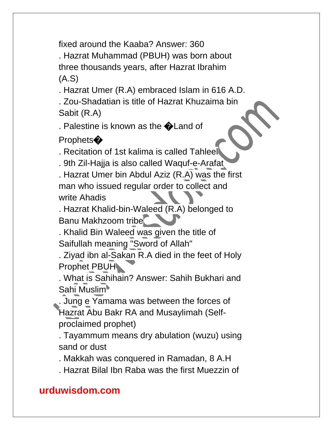fixed around the Kaaba? Answer: 360

. Hazrat Muhammad (PBUH) was born about three thousands years, after Hazrat Ibrahim (A.S)

. Hazrat Umer (R.A) embraced Islam in 616 A.D.

. Zou-Shadatian is title of Hazrat Khuzaima bin Sabit (R.A)

. Palestine is known as the **O**Land of

Prophets<sup>�</sup>

. Recitation of 1st kalima is called Tahleel

. 9th Zil-Hajja is also called Waquf-e-Arafat

. Hazrat Umer bin Abdul Aziz (R.A) was the first man who issued regular order to collect and write Ahadis

. Hazrat Khalid-bin-Waleed (R.A) belonged to Banu Makhzoom tribe

. Khalid Bin Waleed was given the title of Saifullah meaning "Sword of Allah"

. Ziyad ibn al-Sakan R.A died in the feet of Holy Prophet PBUH

. What is Sahihain? Answer: Sahih Bukhari and Sahi Muslim

. Jung e Yamama was between the forces of Hazrat Abu Bakr RA and Musaylimah (Selfproclaimed prophet)

. Tayammum means dry abulation (wuzu) using sand or dust

. Makkah was conquered in Ramadan, 8 A.H

. Hazrat Bilal Ibn Raba was the first Muezzin of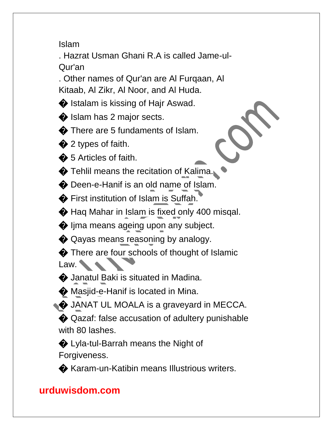Islam

. Hazrat Usman Ghani R.A is called Jame-ul-Qur'an

. Other names of Qur'an are Al Furqaan, Al Kitaab, Al Zikr, Al Noor, and Al Huda.

 $\bullet$  Istalam is kissing of Hajr Aswad.

 $\bigcirc$  Islam has 2 major sects.

 $\bullet$  There are 5 fundaments of Islam.

 $\bigcirc$  2 types of faith.

 $\clubsuit$  5 Articles of faith.

 $\bigcirc$  Tehlil means the recitation of Kalima.

 $\bullet$  Deen-e-Hanif is an old name of Islam.

� First institution of Islam is Suffah.

 $\bullet$  Haq Mahar in Islam is fixed only 400 misqal.

 $\bigcirc$  ljma means ageing upon any subject.

 $\bullet$  Qayas means reasoning by analogy.

 $\bullet$  There are four schools of thought of Islamic Law.

 $\bullet$  Janatul Baki is situated in Madina.

 $\bullet$  Masjid-e-Hanif is located in Mina.

 $\bullet$  JANAT UL MOALA is a graveyard in MECCA.

◆ Qazaf: false accusation of adultery punishable with 80 lashes.

� Lyla-tul-Barrah means the Night of Forgiveness.

� Karam-un-Katibin means Illustrious writers.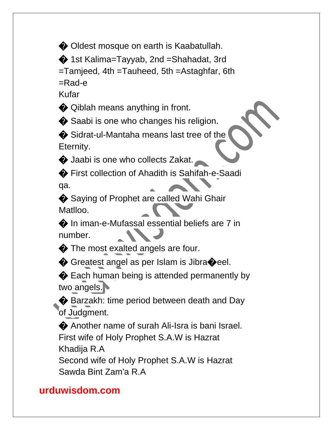$\bullet$  Oldest mosque on earth is Kaabatullah.

� 1st Kalima=Tayyab, 2nd =Shahadat, 3rd

=Tamjeed, 4th =Tauheed, 5th =Astaghfar, 6th

=Rad-e

Kufar

 $\bullet$  Qiblah means anything in front.

 $\bullet$  Saabi is one who changes his religion.

 $\bullet$  Sidrat-ul-Mantaha means last tree of the Eternity.

 $\bigcirc$  Jaabi is one who collects Zakat.

� First collection of Ahadith is Sahifah-e-Saadi qa.

♦ Saying of Prophet are called Wahi Ghair Matlloo.

� In iman-e-Mufassal essential beliefs are 7 in number.

 $\bullet$  The most exalted angels are four.

♦ Greatest angel as per Islam is Jibra�eel.

♦ Each human being is attended permanently by two angels.

Barzakh: time period between death and Day of Judgment.

� Another name of surah Ali-Isra is bani Israel. First wife of Holy Prophet S.A.W is Hazrat Khadija R.A Second wife of Holy Prophet S.A.W is Hazrat Sawda Bint Zam'a R.A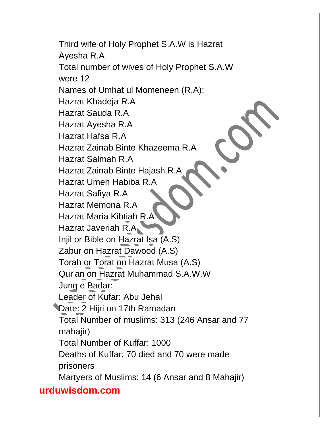Third wife of Holy Prophet S.A.W is Hazrat Ayesha R.A Total number of wives of Holy Prophet S.A.W were 12 Names of Umhat ul Momeneen (R.A): Hazrat Khadeja R.A Hazrat Sauda R.A Hazrat Ayesha R.A Hazrat Hafsa R.A Hazrat Zainab Binte Khazeema R.A Hazrat Salmah R.A Hazrat Zainab Binte Hajash R.A Hazrat Umeh Habiba R.A Hazrat Safiya R.A Hazrat Memona R.A Hazrat Maria Kibtiah R.A Hazrat Javeriah R.A Injil or Bible on Hazrat Isa (A.S) Zabur on Hazrat Dawood (A.S) Torah or Torat on Hazrat Musa (A.S) Qur'an on Hazrat Muhammad S.A.W.W Jung e Badar: Leader of Kufar: Abu Jehal Date: 2 Hijri on 17th Ramadan Total Number of muslims: 313 (246 Ansar and 77 mahajir) Total Number of Kuffar: 1000 Deaths of Kuffar: 70 died and 70 were made prisoners Martyers of Muslims: 14 (6 Ansar and 8 Mahajir)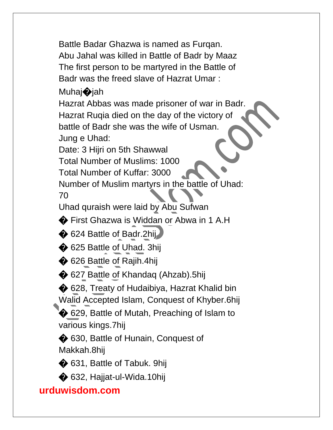Battle Badar Ghazwa is named as Furqan. Abu Jahal was killed in Battle of Badr by Maaz The first person to be martyred in the Battle of Badr was the freed slave of Hazrat Umar :

# Muhaj**o**jah

Hazrat Abbas was made prisoner of war in Badr. Hazrat Ruqia died on the day of the victory of battle of Badr she was the wife of Usman. Jung e Uhad:

Date: 3 Hijri on 5th Shawwal

Total Number of Muslims: 1000

Total Number of Kuffar: 3000

Number of Muslim martyrs in the battle of Uhad:

70

Uhad quraish were laid by Abu Sufwan

� First Ghazwa is Widdan or Abwa in 1 A.H

 $\bigcirc$  624 Battle of Badr.2hij

◆ 625 Battle of Uhad. 3hij

♦ 626 Battle of Rajih.4hij

 $\bullet$  627 Battle of Khandaq (Ahzab).5hij

◆ 628, Treaty of Hudaibiya, Hazrat Khalid bin Walid Accepted Islam, Conquest of Khyber.6hij

**♦ 629, Battle of Mutah, Preaching of Islam to** various kings.7hij

 $\bigcirc$  630, Battle of Hunain, Conquest of Makkah.8hij

 $\bigcirc$  631, Battle of Tabuk. 9hij

◆ 632, Hajjat-ul-Wida.10hij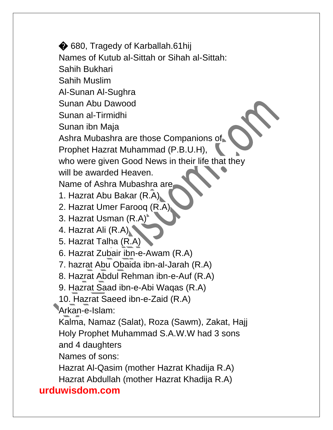**urduwisdom.com**  $\bigcirc$  680, Tragedy of Karballah.61hij Names of Kutub al-Sittah or Sihah al-Sittah: Sahih Bukhari Sahih Muslim Al-Sunan Al-Sughra Sunan Abu Dawood Sunan al-Tirmidhi Sunan ibn Maja Ashra Mubashra are those Companions of Prophet Hazrat Muhammad (P.B.U.H), who were given Good News in their life that they will be awarded Heaven. Name of Ashra Mubashra are 1. Hazrat Abu Bakar (R.A) 2. Hazrat Umer Farooq (R.A) 3. Hazrat Usman (R.A) 4. Hazrat Ali (R.A) 5. Hazrat Talha (R.A) 6. Hazrat Zubair ibn-e-Awam (R.A) 7. hazrat Abu Obaida ibn-al-Jarah (R.A) 8. Hazrat Abdul Rehman ibn-e-Auf (R.A) 9. Hazrat Saad ibn-e-Abi Waqas (R.A) 10. Hazrat Saeed ibn-e-Zaid (R.A) Arkan-e-Islam: Kalma, Namaz (Salat), Roza (Sawm), Zakat, Hajj Holy Prophet Muhammad S.A.W.W had 3 sons and 4 daughters Names of sons: Hazrat Al-Qasim (mother Hazrat Khadija R.A) Hazrat Abdullah (mother Hazrat Khadija R.A)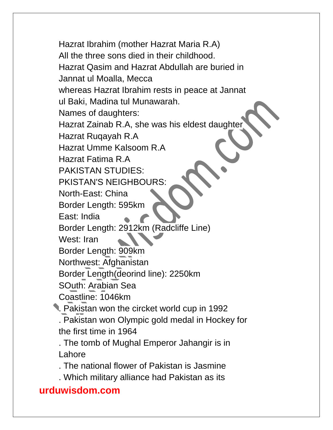Hazrat Ibrahim (mother Hazrat Maria R.A) All the three sons died in their childhood. Hazrat Qasim and Hazrat Abdullah are buried in Jannat ul Moalla, Mecca whereas Hazrat Ibrahim rests in peace at Jannat ul Baki, Madina tul Munawarah. Names of daughters: Hazrat Zainab R.A, she was his eldest daughter Hazrat Ruqayah R.A Hazrat Umme Kalsoom R.A Hazrat Fatima R.A PAKISTAN STUDIES: PKISTAN'S NEIGHBOURS: North-East: China Border Length: 595km East: India Border Length: 2912km (Radcliffe Line) West: Iran Border Length: 909km Northwest: Afghanistan Border Length(deorind line): 2250km SOuth: Arabian Sea Coastline: 1046km . Pakistan won the circket world cup in 1992 . Pakistan won Olympic gold medal in Hockey for the first time in 1964 . The tomb of Mughal Emperor Jahangir is in Lahore . The national flower of Pakistan is Jasmine . Which military alliance had Pakistan as its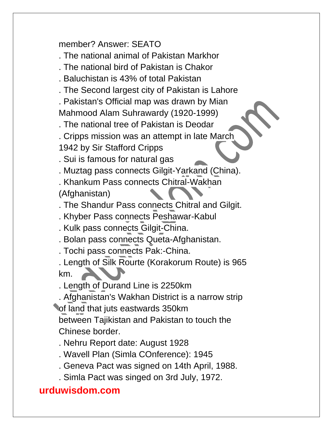#### member? Answer: SEATO

. The national animal of Pakistan Markhor

- . The national bird of Pakistan is Chakor
- . Baluchistan is 43% of total Pakistan
- . The Second largest city of Pakistan is Lahore

. Pakistan's Official map was drawn by Mian Mahmood Alam Suhrawardy (1920-1999)

. The national tree of Pakistan is Deodar

. Cripps mission was an attempt in late March

1942 by Sir Stafford Cripps

. Sui is famous for natural gas

. Muztag pass connects Gilgit-Yarkand (China).

. Khankum Pass connects Chitral-Wakhan

(Afghanistan)

. The Shandur Pass connects Chitral and Gilgit.

- . Khyber Pass connects Peshawar-Kabul
- . Kulk pass connects Gilgit-China.

. Bolan pass connects Queta-Afghanistan.

. Tochi pass connects Pak:-China.

. Length of Silk Rourte (Korakorum Route) is 965 km.

. Length of Durand Line is 2250km

. Afghanistan's Wakhan District is a narrow strip of land that juts eastwards 350km between Tajikistan and Pakistan to touch the

Chinese border.

. Nehru Report date: August 1928

. Wavell Plan (Simla COnference): 1945

- . Geneva Pact was signed on 14th April, 1988.
- . Simla Pact was singed on 3rd July, 1972.